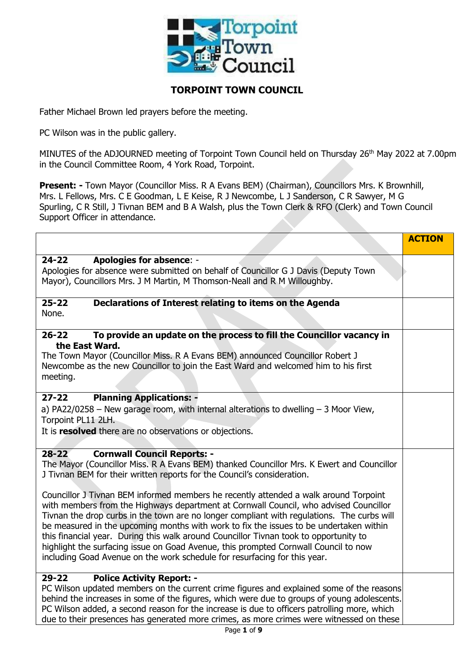

# **TORPOINT TOWN COUNCIL**

Father Michael Brown led prayers before the meeting.

PC Wilson was in the public gallery.

MINUTES of the ADJOURNED meeting of Torpoint Town Council held on Thursday 26<sup>th</sup> May 2022 at 7.00pm in the Council Committee Room, 4 York Road, Torpoint.

**Present: -** Town Mayor (Councillor Miss. R A Evans BEM) (Chairman), Councillors Mrs. K Brownhill, Mrs. L Fellows, Mrs. C E Goodman, L E Keise, R J Newcombe, L J Sanderson, C R Sawyer, M G Spurling, C R Still, J Tivnan BEM and B A Walsh, plus the Town Clerk & RFO (Clerk) and Town Council Support Officer in attendance.

|                                                                                                                                                                                                                                                                                                                                                                                                                                                                                                                                                                                                                                                                                                                                                                                                                                                               | <b>ACTION</b> |
|---------------------------------------------------------------------------------------------------------------------------------------------------------------------------------------------------------------------------------------------------------------------------------------------------------------------------------------------------------------------------------------------------------------------------------------------------------------------------------------------------------------------------------------------------------------------------------------------------------------------------------------------------------------------------------------------------------------------------------------------------------------------------------------------------------------------------------------------------------------|---------------|
| $24 - 22$<br><b>Apologies for absence: -</b><br>Apologies for absence were submitted on behalf of Councillor G J Davis (Deputy Town<br>Mayor), Councillors Mrs. J M Martin, M Thomson-Neall and R M Willoughby.                                                                                                                                                                                                                                                                                                                                                                                                                                                                                                                                                                                                                                               |               |
| $25 - 22$<br>Declarations of Interest relating to items on the Agenda<br>None.                                                                                                                                                                                                                                                                                                                                                                                                                                                                                                                                                                                                                                                                                                                                                                                |               |
| To provide an update on the process to fill the Councillor vacancy in<br>$26 - 22$<br>the East Ward.<br>The Town Mayor (Councillor Miss. R A Evans BEM) announced Councillor Robert J<br>Newcombe as the new Councillor to join the East Ward and welcomed him to his first<br>meeting.                                                                                                                                                                                                                                                                                                                                                                                                                                                                                                                                                                       |               |
| $27 - 22$<br><b>Planning Applications: -</b><br>a) PA22/0258 – New garage room, with internal alterations to dwelling $-$ 3 Moor View,<br>Torpoint PL11 2LH.<br>It is resolved there are no observations or objections.                                                                                                                                                                                                                                                                                                                                                                                                                                                                                                                                                                                                                                       |               |
| <b>Cornwall Council Reports: -</b><br>$28 - 22$<br>The Mayor (Councillor Miss. R A Evans BEM) thanked Councillor Mrs. K Ewert and Councillor<br>J Tivnan BEM for their written reports for the Council's consideration.<br>Councillor J Tivnan BEM informed members he recently attended a walk around Torpoint<br>with members from the Highways department at Cornwall Council, who advised Councillor<br>Tivnan the drop curbs in the town are no longer compliant with regulations. The curbs will<br>be measured in the upcoming months with work to fix the issues to be undertaken within<br>this financial year. During this walk around Councillor Tivnan took to opportunity to<br>highlight the surfacing issue on Goad Avenue, this prompted Cornwall Council to now<br>including Goad Avenue on the work schedule for resurfacing for this year. |               |
| <b>Police Activity Report: -</b><br>$29 - 22$<br>PC Wilson updated members on the current crime figures and explained some of the reasons<br>behind the increases in some of the figures, which were due to groups of young adolescents.<br>PC Wilson added, a second reason for the increase is due to officers patrolling more, which<br>due to their presences has generated more crimes, as more crimes were witnessed on these                                                                                                                                                                                                                                                                                                                                                                                                                           |               |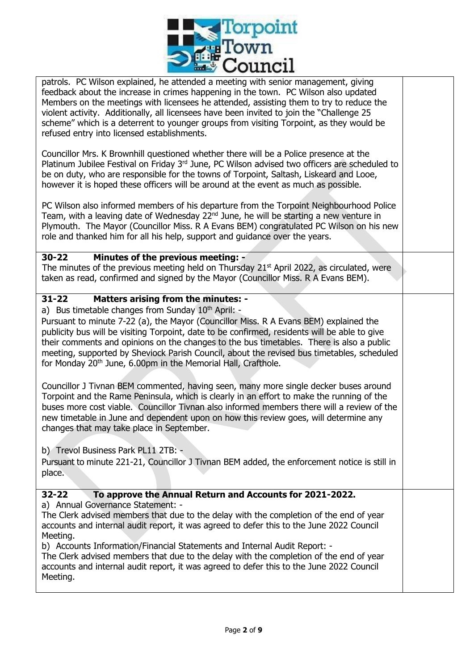

patrols. PC Wilson explained, he attended a meeting with senior management, giving feedback about the increase in crimes happening in the town. PC Wilson also updated Members on the meetings with licensees he attended, assisting them to try to reduce the violent activity. Additionally, all licensees have been invited to join the "Challenge 25 scheme" which is a deterrent to younger groups from visiting Torpoint, as they would be refused entry into licensed establishments.

Councillor Mrs. K Brownhill questioned whether there will be a Police presence at the Platinum Jubilee Festival on Friday 3<sup>rd</sup> June, PC Wilson advised two officers are scheduled to be on duty, who are responsible for the towns of Torpoint, Saltash, Liskeard and Looe, however it is hoped these officers will be around at the event as much as possible.

PC Wilson also informed members of his departure from the Torpoint Neighbourhood Police Team, with a leaving date of Wednesday  $22<sup>nd</sup>$  June, he will be starting a new venture in Plymouth. The Mayor (Councillor Miss. R A Evans BEM) congratulated PC Wilson on his new role and thanked him for all his help, support and guidance over the years.

### **30-22 Minutes of the previous meeting: -**

The minutes of the previous meeting held on Thursday  $21^{st}$  April 2022, as circulated, were taken as read, confirmed and signed by the Mayor (Councillor Miss. R A Evans BEM).

## **31-22 Matters arising from the minutes: -**

a) Bus timetable changes from Sunday  $10<sup>th</sup>$  April: -

 Pursuant to minute 7-22 (a), the Mayor (Councillor Miss. R A Evans BEM) explained the publicity bus will be visiting Torpoint, date to be confirmed, residents will be able to give their comments and opinions on the changes to the bus timetables. There is also a public meeting, supported by Sheviock Parish Council, about the revised bus timetables, scheduled for Monday 20<sup>th</sup> June, 6.00pm in the Memorial Hall, Crafthole.

Councillor J Tivnan BEM commented, having seen, many more single decker buses around Torpoint and the Rame Peninsula, which is clearly in an effort to make the running of the buses more cost viable. Councillor Tivnan also informed members there will a review of the new timetable in June and dependent upon on how this review goes, will determine any changes that may take place in September.

b) Trevol Business Park PL11 2TB: -

Pursuant to minute 221-21, Councillor J Tivnan BEM added, the enforcement notice is still in place.

### **32-22 To approve the Annual Return and Accounts for 2021-2022.**

a) Annual Governance Statement: -

The Clerk advised members that due to the delay with the completion of the end of year accounts and internal audit report, it was agreed to defer this to the June 2022 Council Meeting.

b) Accounts Information/Financial Statements and Internal Audit Report: -

The Clerk advised members that due to the delay with the completion of the end of year accounts and internal audit report, it was agreed to defer this to the June 2022 Council Meeting.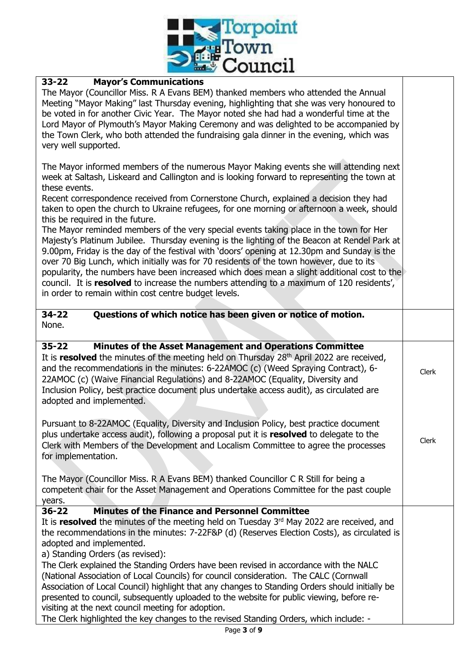

# **33-22 Mayor's Communications**

The Mayor (Councillor Miss. R A Evans BEM) thanked members who attended the Annual Meeting "Mayor Making" last Thursday evening, highlighting that she was very honoured to be voted in for another Civic Year. The Mayor noted she had had a wonderful time at the Lord Mayor of Plymouth's Mayor Making Ceremony and was delighted to be accompanied by the Town Clerk, who both attended the fundraising gala dinner in the evening, which was very well supported.

The Mayor informed members of the numerous Mayor Making events she will attending next week at Saltash, Liskeard and Callington and is looking forward to representing the town at these events.

Recent correspondence received from Cornerstone Church, explained a decision they had taken to open the church to Ukraine refugees, for one morning or afternoon a week, should this be required in the future.

The Mayor reminded members of the very special events taking place in the town for Her Majesty's Platinum Jubilee. Thursday evening is the lighting of the Beacon at Rendel Park at 9.00pm, Friday is the day of the festival with 'doors' opening at 12.30pm and Sunday is the over 70 Big Lunch, which initially was for 70 residents of the town however, due to its popularity, the numbers have been increased which does mean a slight additional cost to the council. It is **resolved** to increase the numbers attending to a maximum of 120 residents', in order to remain within cost centre budget levels.

**34-22 Questions of which notice has been given or notice of motion.** None.

# **35-22 Minutes of the Asset Management and Operations Committee**

It is **resolved** the minutes of the meeting held on Thursday 28<sup>th</sup> April 2022 are received, and the recommendations in the minutes: 6-22AMOC (c) (Weed Spraying Contract), 6- 22AMOC (c) (Waive Financial Regulations) and 8-22AMOC (Equality, Diversity and Inclusion Policy, best practice document plus undertake access audit), as circulated are adopted and implemented.

Clerk

Clerk

Pursuant to 8-22AMOC (Equality, Diversity and Inclusion Policy, best practice document plus undertake access audit), following a proposal put it is **resolved** to delegate to the Clerk with Members of the Development and Localism Committee to agree the processes for implementation.

The Mayor (Councillor Miss. R A Evans BEM) thanked Councillor C R Still for being a competent chair for the Asset Management and Operations Committee for the past couple years.

### **36-22 Minutes of the Finance and Personnel Committee**

It is **resolved** the minutes of the meeting held on Tuesday 3<sup>rd</sup> May 2022 are received, and the recommendations in the minutes: 7-22F&P (d) (Reserves Election Costs), as circulated is adopted and implemented.

a) Standing Orders (as revised):

The Clerk explained the Standing Orders have been revised in accordance with the NALC (National Association of Local Councils) for council consideration. The CALC (Cornwall Association of Local Council) highlight that any changes to Standing Orders should initially be presented to council, subsequently uploaded to the website for public viewing, before revisiting at the next council meeting for adoption.

The Clerk highlighted the key changes to the revised Standing Orders, which include: -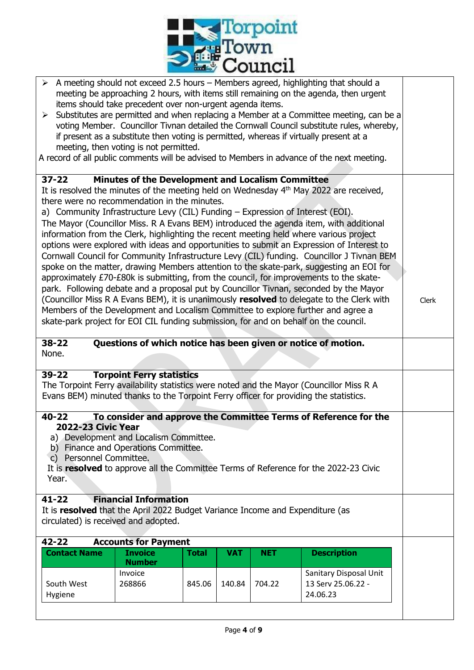

|                                                                                                                                                                                                                                     | items should take precedent over non-urgent agenda items.<br>meeting, then voting is not permitted. |              |            |            | $\triangleright$ A meeting should not exceed 2.5 hours – Members agreed, highlighting that should a<br>meeting be approaching 2 hours, with items still remaining on the agenda, then urgent<br>> Substitutes are permitted and when replacing a Member at a Committee meeting, can be a<br>voting Member. Councillor Tivnan detailed the Cornwall Council substitute rules, whereby,<br>if present as a substitute then voting is permitted, whereas if virtually present at a<br>A record of all public comments will be advised to Members in advance of the next meeting.                                                                                                                                                                                                                                                                                                                                                                   |       |
|-------------------------------------------------------------------------------------------------------------------------------------------------------------------------------------------------------------------------------------|-----------------------------------------------------------------------------------------------------|--------------|------------|------------|-------------------------------------------------------------------------------------------------------------------------------------------------------------------------------------------------------------------------------------------------------------------------------------------------------------------------------------------------------------------------------------------------------------------------------------------------------------------------------------------------------------------------------------------------------------------------------------------------------------------------------------------------------------------------------------------------------------------------------------------------------------------------------------------------------------------------------------------------------------------------------------------------------------------------------------------------|-------|
|                                                                                                                                                                                                                                     |                                                                                                     |              |            |            |                                                                                                                                                                                                                                                                                                                                                                                                                                                                                                                                                                                                                                                                                                                                                                                                                                                                                                                                                 |       |
| $37 - 22$<br>there were no recommendation in the minutes.<br>a) Community Infrastructure Levy (CIL) Funding - Expression of Interest (EOI).<br>skate-park project for EOI CIL funding submission, for and on behalf on the council. | <b>Minutes of the Development and Localism Committee</b>                                            |              |            |            | It is resolved the minutes of the meeting held on Wednesday 4 <sup>th</sup> May 2022 are received,<br>The Mayor (Councillor Miss. R A Evans BEM) introduced the agenda item, with additional<br>information from the Clerk, highlighting the recent meeting held where various project<br>options were explored with ideas and opportunities to submit an Expression of Interest to<br>Cornwall Council for Community Infrastructure Levy (CIL) funding. Councillor J Tivnan BEM<br>spoke on the matter, drawing Members attention to the skate-park, suggesting an EOI for<br>approximately £70-£80k is submitting, from the council, for improvements to the skate-<br>park. Following debate and a proposal put by Councillor Tivnan, seconded by the Mayor<br>(Councillor Miss R A Evans BEM), it is unanimously resolved to delegate to the Clerk with<br>Members of the Development and Localism Committee to explore further and agree a | Clerk |
|                                                                                                                                                                                                                                     |                                                                                                     |              |            |            |                                                                                                                                                                                                                                                                                                                                                                                                                                                                                                                                                                                                                                                                                                                                                                                                                                                                                                                                                 |       |
| $38 - 22$<br>None.                                                                                                                                                                                                                  |                                                                                                     |              |            |            | Questions of which notice has been given or notice of motion.                                                                                                                                                                                                                                                                                                                                                                                                                                                                                                                                                                                                                                                                                                                                                                                                                                                                                   |       |
| $39 - 22$<br>Evans BEM) minuted thanks to the Torpoint Ferry officer for providing the statistics.                                                                                                                                  | <b>Torpoint Ferry statistics</b>                                                                    |              |            |            | The Torpoint Ferry availability statistics were noted and the Mayor (Councillor Miss R A                                                                                                                                                                                                                                                                                                                                                                                                                                                                                                                                                                                                                                                                                                                                                                                                                                                        |       |
| $40 - 22$<br><b>2022-23 Civic Year</b><br>c) Personnel Committee.<br>Year.                                                                                                                                                          | a) Development and Localism Committee.<br>b) Finance and Operations Committee.                      |              |            |            | To consider and approve the Committee Terms of Reference for the<br>It is resolved to approve all the Committee Terms of Reference for the 2022-23 Civic                                                                                                                                                                                                                                                                                                                                                                                                                                                                                                                                                                                                                                                                                                                                                                                        |       |
| $41 - 22$<br>It is resolved that the April 2022 Budget Variance Income and Expenditure (as<br>circulated) is received and adopted.                                                                                                  | <b>Financial Information</b>                                                                        |              |            |            |                                                                                                                                                                                                                                                                                                                                                                                                                                                                                                                                                                                                                                                                                                                                                                                                                                                                                                                                                 |       |
| $42 - 22$                                                                                                                                                                                                                           | <b>Accounts for Payment</b>                                                                         |              |            |            |                                                                                                                                                                                                                                                                                                                                                                                                                                                                                                                                                                                                                                                                                                                                                                                                                                                                                                                                                 |       |
| <b>Contact Name</b>                                                                                                                                                                                                                 | <b>Invoice</b><br><b>Number</b>                                                                     | <b>Total</b> | <b>VAT</b> | <b>NET</b> | <b>Description</b>                                                                                                                                                                                                                                                                                                                                                                                                                                                                                                                                                                                                                                                                                                                                                                                                                                                                                                                              |       |
| South West<br>Hygiene                                                                                                                                                                                                               | Invoice<br>268866                                                                                   | 845.06       | 140.84     | 704.22     | Sanitary Disposal Unit<br>13 Serv 25.06.22 -<br>24.06.23                                                                                                                                                                                                                                                                                                                                                                                                                                                                                                                                                                                                                                                                                                                                                                                                                                                                                        |       |
|                                                                                                                                                                                                                                     |                                                                                                     |              |            |            |                                                                                                                                                                                                                                                                                                                                                                                                                                                                                                                                                                                                                                                                                                                                                                                                                                                                                                                                                 |       |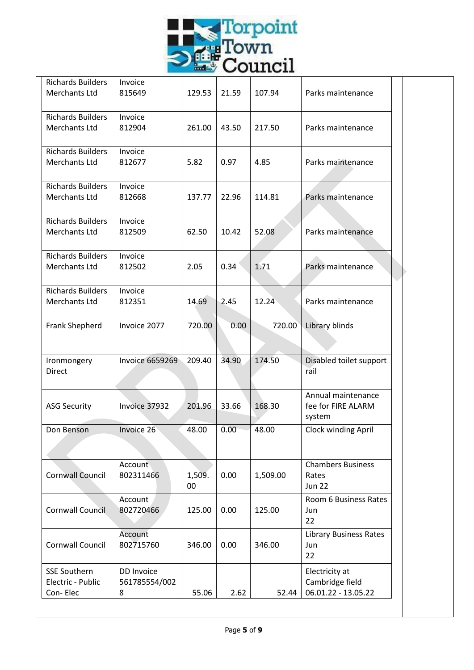

| <b>Richards Builders</b> | Invoice                |              |       |          |                                          |  |
|--------------------------|------------------------|--------------|-------|----------|------------------------------------------|--|
| Merchants Ltd            | 815649                 | 129.53       | 21.59 | 107.94   | Parks maintenance                        |  |
| <b>Richards Builders</b> | Invoice                |              |       |          |                                          |  |
| Merchants Ltd            | 812904                 | 261.00       | 43.50 | 217.50   | Parks maintenance                        |  |
|                          |                        |              |       |          |                                          |  |
| <b>Richards Builders</b> | Invoice                |              |       |          |                                          |  |
| Merchants Ltd            | 812677                 | 5.82         | 0.97  | 4.85     | Parks maintenance                        |  |
| <b>Richards Builders</b> | Invoice                |              |       |          |                                          |  |
| Merchants Ltd            | 812668                 | 137.77       | 22.96 | 114.81   | Parks maintenance                        |  |
|                          |                        |              |       |          |                                          |  |
| <b>Richards Builders</b> | Invoice                |              |       |          |                                          |  |
| Merchants Ltd            | 812509                 | 62.50        | 10.42 | 52.08    | Parks maintenance                        |  |
| <b>Richards Builders</b> | Invoice                |              |       |          |                                          |  |
| Merchants Ltd            | 812502                 | 2.05         | 0.34  | 1.71     | Parks maintenance                        |  |
|                          |                        |              |       |          |                                          |  |
| <b>Richards Builders</b> | Invoice                |              |       |          |                                          |  |
| Merchants Ltd            | 812351                 | 14.69        | 2.45  | 12.24    | Parks maintenance                        |  |
| Frank Shepherd           | Invoice 2077           | 720.00       | 0.00  | 720.00   | Library blinds                           |  |
|                          |                        |              |       |          |                                          |  |
|                          |                        |              |       |          |                                          |  |
| Ironmongery              | <b>Invoice 6659269</b> | 209.40       | 34.90 | 174.50   | Disabled toilet support                  |  |
| Direct                   |                        |              |       |          | rail                                     |  |
|                          |                        |              |       |          |                                          |  |
| <b>ASG Security</b>      | Invoice 37932          | 201.96       | 33.66 | 168.30   | Annual maintenance<br>fee for FIRE ALARM |  |
|                          |                        |              |       |          | system                                   |  |
| Don Benson               | Invoice 26             | 48.00        | 0.00  | 48.00    | <b>Clock winding April</b>               |  |
|                          |                        |              |       |          |                                          |  |
|                          |                        |              |       |          |                                          |  |
|                          | Account                |              |       |          | <b>Chambers Business</b>                 |  |
| <b>Cornwall Council</b>  | 802311466              | 1,509.<br>00 | 0.00  | 1,509.00 | Rates<br><b>Jun 22</b>                   |  |
|                          |                        |              |       |          | Room 6 Business Rates                    |  |
| <b>Cornwall Council</b>  | Account<br>802720466   | 125.00       | 0.00  | 125.00   | Jun                                      |  |
|                          |                        |              |       |          | 22                                       |  |
|                          | Account                |              |       |          | <b>Library Business Rates</b>            |  |
| Cornwall Council         | 802715760              | 346.00       | 0.00  | 346.00   | Jun                                      |  |
|                          |                        |              |       |          | 22                                       |  |
| <b>SSE Southern</b>      | DD Invoice             |              |       |          | Electricity at                           |  |
| Electric - Public        | 561785554/002          |              |       |          | Cambridge field                          |  |
| Con-Elec                 | 8                      | 55.06        | 2.62  | 52.44    | 06.01.22 - 13.05.22                      |  |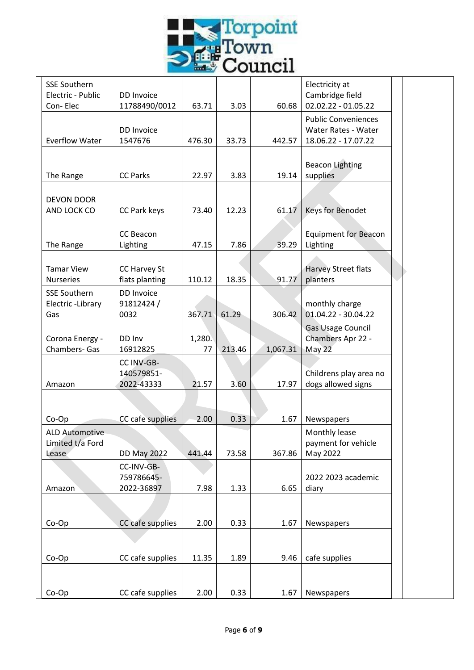

| <b>SSE Southern</b><br>Electric - Public           | DD Invoice                             |              |        |          | Electricity at<br>Cambridge field                                        |  |
|----------------------------------------------------|----------------------------------------|--------------|--------|----------|--------------------------------------------------------------------------|--|
| Con-Elec                                           | 11788490/0012                          | 63.71        | 3.03   | 60.68    | 02.02.22 - 01.05.22                                                      |  |
| <b>Everflow Water</b>                              | DD Invoice<br>1547676                  | 476.30       | 33.73  | 442.57   | <b>Public Conveniences</b><br>Water Rates - Water<br>18.06.22 - 17.07.22 |  |
| The Range                                          | <b>CC Parks</b>                        | 22.97        | 3.83   | 19.14    | <b>Beacon Lighting</b><br>supplies                                       |  |
| DEVON DOOR                                         |                                        |              |        |          |                                                                          |  |
| AND LOCK CO                                        | CC Park keys                           | 73.40        | 12.23  | 61.17    | Keys for Benodet                                                         |  |
| The Range                                          | CC Beacon<br>Lighting                  | 47.15        | 7.86   | 39.29    | <b>Equipment for Beacon</b><br>Lighting                                  |  |
| <b>Tamar View</b><br><b>Nurseries</b>              | CC Harvey St<br>flats planting         | 110.12       | 18.35  | 91.77    | Harvey Street flats<br>planters                                          |  |
| <b>SSE Southern</b><br>Electric-Library            | DD Invoice<br>91812424/                |              |        |          | monthly charge                                                           |  |
| Gas                                                | 0032                                   | 367.71       | 61.29  | 306.42   | 01.04.22 - 30.04.22                                                      |  |
| Corona Energy -<br><b>Chambers- Gas</b>            | DD Inv<br>16912825                     | 1,280.<br>77 | 213.46 | 1,067.31 | Gas Usage Council<br>Chambers Apr 22 -<br>May 22                         |  |
| Amazon                                             | CC INV-GB-<br>140579851-<br>2022-43333 | 21.57        | 3.60   | 17.97    | Childrens play area no<br>dogs allowed signs                             |  |
|                                                    |                                        |              |        |          |                                                                          |  |
| Co-Op                                              | CC cafe supplies                       | 2.00         | 0.33   | 1.67     | Newspapers                                                               |  |
| <b>ALD Automotive</b><br>Limited t/a Ford<br>Lease | <b>DD May 2022</b>                     | 441.44       | 73.58  | 367.86   | Monthly lease<br>payment for vehicle<br>May 2022                         |  |
|                                                    | CC-INV-GB-                             |              |        |          |                                                                          |  |
| Amazon                                             | 759786645-<br>2022-36897               | 7.98         | 1.33   | 6.65     | 2022 2023 academic<br>diary                                              |  |
|                                                    |                                        |              |        |          |                                                                          |  |
| Co-Op                                              | CC cafe supplies                       | 2.00         | 0.33   | 1.67     | Newspapers                                                               |  |
| Co-Op                                              | CC cafe supplies                       | 11.35        | 1.89   | 9.46     | cafe supplies                                                            |  |
|                                                    |                                        |              |        |          |                                                                          |  |
| Co-Op                                              | CC cafe supplies                       | 2.00         | 0.33   | 1.67     | Newspapers                                                               |  |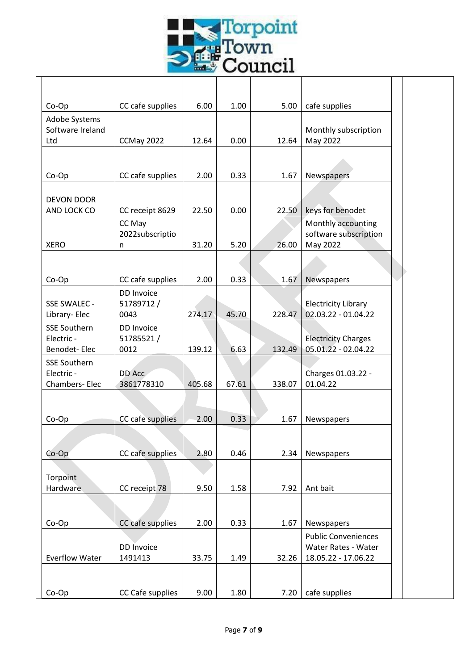

| Co-Op                             | CC cafe supplies  | 6.00   | 1.00  | 5.00   | cafe supplies                                     |  |
|-----------------------------------|-------------------|--------|-------|--------|---------------------------------------------------|--|
| Adobe Systems                     |                   |        |       |        |                                                   |  |
| Software Ireland                  |                   |        |       |        | Monthly subscription                              |  |
| Ltd                               | CCMay 2022        | 12.64  | 0.00  | 12.64  | May 2022                                          |  |
|                                   |                   |        |       |        |                                                   |  |
| Co-Op                             | CC cafe supplies  | 2.00   | 0.33  | 1.67   | Newspapers                                        |  |
|                                   |                   |        |       |        |                                                   |  |
| <b>DEVON DOOR</b>                 |                   |        |       |        |                                                   |  |
| AND LOCK CO                       | CC receipt 8629   | 22.50  | 0.00  | 22.50  | keys for benodet                                  |  |
|                                   | CC May            |        |       |        | Monthly accounting                                |  |
| <b>XERO</b>                       | 2022subscriptio   | 31.20  | 5.20  | 26.00  | software subscription                             |  |
|                                   | n                 |        |       |        | May 2022                                          |  |
|                                   |                   |        |       |        |                                                   |  |
| Co-Op                             | CC cafe supplies  | 2.00   | 0.33  | 1.67   | Newspapers                                        |  |
|                                   | DD Invoice        |        |       |        |                                                   |  |
| SSE SWALEC -                      | 51789712/         |        |       |        | <b>Electricity Library</b>                        |  |
| Library- Elec                     | 0043              | 274.17 | 45.70 | 228.47 | 02.03.22 - 01.04.22                               |  |
| <b>SSE Southern</b><br>Electric - | DD Invoice        |        |       |        |                                                   |  |
| Benodet-Elec                      | 51785521/<br>0012 | 139.12 | 6.63  | 132.49 | <b>Electricity Charges</b><br>05.01.22 - 02.04.22 |  |
| <b>SSE Southern</b>               |                   |        |       |        |                                                   |  |
| Electric -                        | DD Acc            |        |       |        | Charges 01.03.22 -                                |  |
| Chambers-Elec                     | 3861778310        | 405.68 | 67.61 | 338.07 | 01.04.22                                          |  |
|                                   |                   |        |       |        |                                                   |  |
|                                   |                   |        |       |        |                                                   |  |
| Co-Op                             | CC cafe supplies  | 2.00   | 0.33  | 1.67   | Newspapers                                        |  |
|                                   |                   |        |       |        |                                                   |  |
| $Co$ - $Op$                       | CC cafe supplies  | 2.80   | 0.46  | 2.34   | Newspapers                                        |  |
|                                   |                   |        |       |        |                                                   |  |
| Torpoint                          |                   |        |       |        |                                                   |  |
| Hardware                          | CC receipt 78     | 9.50   | 1.58  | 7.92   | Ant bait                                          |  |
|                                   |                   |        |       |        |                                                   |  |
| Co-Op                             | CC cafe supplies  | 2.00   | 0.33  | 1.67   | Newspapers                                        |  |
|                                   |                   |        |       |        | <b>Public Conveniences</b>                        |  |
|                                   | DD Invoice        |        |       |        | Water Rates - Water                               |  |
| <b>Everflow Water</b>             | 1491413           | 33.75  | 1.49  | 32.26  | 18.05.22 - 17.06.22                               |  |
|                                   |                   |        |       |        |                                                   |  |
|                                   |                   |        |       |        |                                                   |  |
| Co-Op                             | CC Cafe supplies  | 9.00   | 1.80  | 7.20   | cafe supplies                                     |  |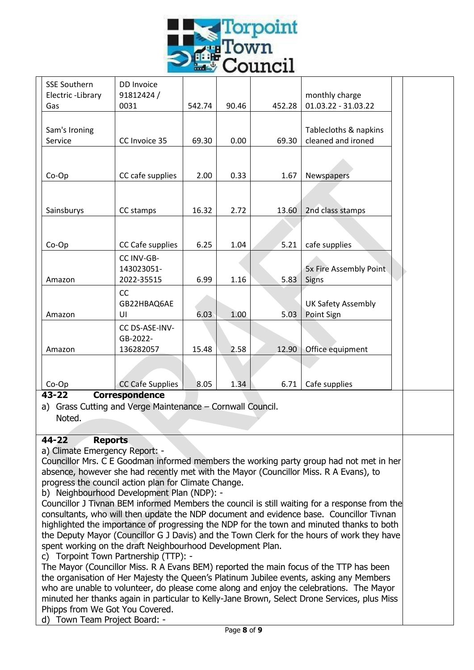

| <b>SSE Southern</b><br>Electric-Library | DD Invoice<br>91812424/                 |        |       |        | monthly charge                              |  |
|-----------------------------------------|-----------------------------------------|--------|-------|--------|---------------------------------------------|--|
| Gas                                     | 0031                                    | 542.74 | 90.46 | 452.28 | 01.03.22 - 31.03.22                         |  |
| Sam's Ironing<br>Service                | CC Invoice 35                           | 69.30  | 0.00  | 69.30  | Tablecloths & napkins<br>cleaned and ironed |  |
| Co-Op                                   | CC cafe supplies                        | 2.00   | 0.33  | 1.67   | Newspapers                                  |  |
| Sainsburys                              | CC stamps                               | 16.32  | 2.72  | 13.60  | 2nd class stamps                            |  |
| Co-Op                                   | CC Cafe supplies                        | 6.25   | 1.04  | 5.21   | cafe supplies                               |  |
| Amazon                                  | CC INV-GB-<br>143023051-<br>2022-35515  | 6.99   | 1.16  | 5.83   | 5x Fire Assembly Point<br>Signs             |  |
| Amazon                                  | CC<br>GB22HBAQ6AE<br>UI                 | 6.03   | 1.00  | 5.03   | <b>UK Safety Assembly</b><br>Point Sign     |  |
| Amazon                                  | CC DS-ASE-INV-<br>GB-2022-<br>136282057 | 15.48  | 2.58  | 12.90  | Office equipment                            |  |
| Co-Op                                   | <b>CC Cafe Supplies</b>                 | 8.05   | 1.34  | 6.71   | Cafe supplies                               |  |
| 43-22                                   | <b>Correspondence</b>                   |        |       |        |                                             |  |

a) Grass Cutting and Verge Maintenance – Cornwall Council. Noted.

### **44-22 Reports**

a) Climate Emergency Report: -

Councillor Mrs. C E Goodman informed members the working party group had not met in her absence, however she had recently met with the Mayor (Councillor Miss. R A Evans), to progress the council action plan for Climate Change.

b) Neighbourhood Development Plan (NDP): -

Councillor J Tivnan BEM informed Members the council is still waiting for a response from the consultants, who will then update the NDP document and evidence base. Councillor Tivnan highlighted the importance of progressing the NDP for the town and minuted thanks to both the Deputy Mayor (Councillor G J Davis) and the Town Clerk for the hours of work they have spent working on the draft Neighbourhood Development Plan.

c) Torpoint Town Partnership (TTP): -

The Mayor (Councillor Miss. R A Evans BEM) reported the main focus of the TTP has been the organisation of Her Majesty the Queen's Platinum Jubilee events, asking any Members who are unable to volunteer, do please come along and enjoy the celebrations. The Mayor minuted her thanks again in particular to Kelly-Jane Brown, Select Drone Services, plus Miss Phipps from We Got You Covered.

d) Town Team Project Board: -